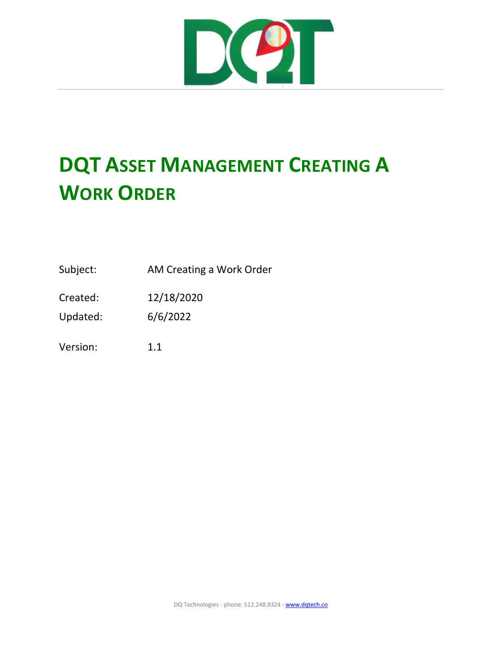

## **DQT ASSET MANAGEMENT CREATING A WORK ORDER**

Subject: AM Creating a Work Order

Created: 12/18/2020

Updated: 6/6/2022

Version: 1.1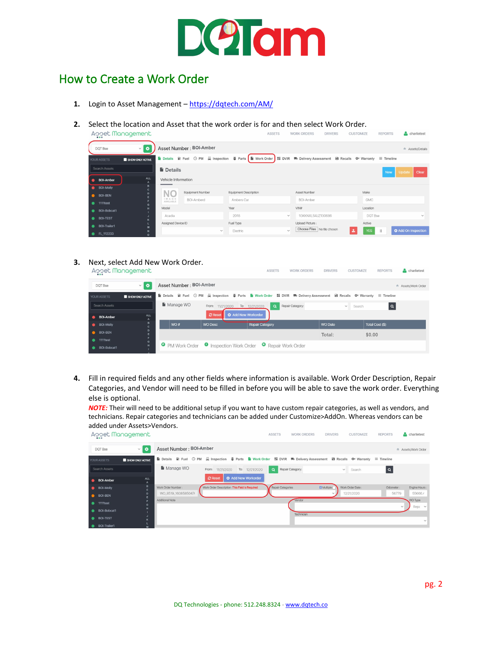

## How to Create a Work Order

- **1.** Login to Asset Management –<https://dqtech.com/AM/>
- **2.** Select the location and Asset that the work order is for and then select Work Order.

|                            | Aooet Management       |                          |                                  |                                       | <b>ASSETS</b> | <b>WORK ORDERS</b>                             | <b>DRIVERS</b> | <b>CUSTOMIZE</b>          | <b>REPORTS</b> | charlietest                |
|----------------------------|------------------------|--------------------------|----------------------------------|---------------------------------------|---------------|------------------------------------------------|----------------|---------------------------|----------------|----------------------------|
| DOT Bse                    | $\vee$ 0               |                          | Asset Number : BOI-Amber         |                                       |               |                                                |                |                           |                | Assets/Details             |
| YOUR ASSETS                | SHOW ONLY ACTIVE       |                          | Details B Fuel O PM A Inspection |                                       |               |                                                |                |                           |                |                            |
| Search Assets              |                        | <b>Details</b>           |                                  |                                       |               |                                                |                |                           | <b>New</b>     | Update<br>Clear            |
| <b>BOI-Amber</b>           | ALL<br>$\mathsf{A}$    | Vehicle Information      |                                  |                                       |               |                                                |                |                           |                |                            |
| <b>BOI-Molly</b>           | B<br>$\mathbf{C}$<br>D |                          | <b>Equipment Number</b>          | <b>Equipment Description</b>          |               | Asset Number                                   |                | Make                      |                |                            |
| <b>BOI-BEN</b><br>1111test | F                      | NO<br>IMAGE<br>AVAILABLE | BOI-Amberd                       | Ambers Car                            |               | BOI-Amber                                      |                | GMC                       |                |                            |
| BOI-Bobcat1                | $\mathbf{G}$<br>н      | Model                    |                                  | Year                                  |               | VIN#                                           |                | Location                  |                |                            |
| <b>BOI-TEST</b>            | $\kappa$               | Acadia                   |                                  | 2018                                  | $\checkmark$  | 1GKKNXLS4JZ130686                              |                | DOT Bse                   |                | $\checkmark$               |
| BOI-Trailer1               | M                      | Assigned Device ID       |                                  | Fuel Type<br>Electric<br>$\checkmark$ | $\checkmark$  | Upload Picture:<br>Choose Files No file chosen |                | Active<br>土<br><b>YES</b> | $\mathbb{I}$   | <b>O</b> Add On Inspection |
| FL 112233                  | $\circ$                |                          |                                  |                                       |               |                                                |                |                           |                |                            |

**3.** Next, select Add New Work Order.

|                                             | AOOEL ITIQNQQEMENT         |                         |                                                        | ASSE <sub>I</sub> S                                                                                                          | <b>WORK ORDERS</b><br>DRIVERS | CUSTOMIZE<br><b>REPORTS</b><br>charlietest |
|---------------------------------------------|----------------------------|-------------------------|--------------------------------------------------------|------------------------------------------------------------------------------------------------------------------------------|-------------------------------|--------------------------------------------|
| DOT Bse                                     | $\vee$ 0                   | Asset Number: BOI-Amber |                                                        |                                                                                                                              |                               | Assets/Work Order                          |
| YOUR ASSETS                                 | SHOW ONLY ACTIVE           |                         |                                                        | Le Details Bi Fuel ⊙ PM A Inspection  S Parts Le Work Order Hi DVIR  ™ Delivery Assessment Ex Recalls  O Warranty   Timeline |                               |                                            |
| Search Assets                               |                            | Manage WO               | From: 11/21/2020                                       | Repair Category:<br>To: 12/21/2020<br>$\alpha$                                                                               | $\checkmark$                  | Search<br>Q                                |
| <b>BOI-Amber</b><br>$\bullet$               | <b>ALL</b><br>$\mathsf{A}$ |                         | <b>Q</b> Add New Workorder<br>$\mathcal{\Omega}$ Reset |                                                                                                                              |                               |                                            |
| <b>BOI-Molly</b><br>$\bullet$               | <b>B</b>                   | WO#                     | <b>WO Desc</b>                                         | Repair Category                                                                                                              | <b>WO Date</b>                | Total Cost (\$).                           |
| <b>BOI-BEN</b><br>$\bullet$                 | D<br>Ε                     |                         |                                                        |                                                                                                                              | Total:                        | \$0.00                                     |
| <b>1111test</b><br>$\bullet$<br>BOI-Bobcat1 | G<br>H                     |                         |                                                        | <b>O</b> PM Work Order <b>O</b> Inspection Work Order <b>G</b> Repair Work Order                                             |                               |                                            |

**4.** Fill in required fields and any other fields where information is available. Work Order Description, Repair Categories, and Vendor will need to be filled in before you will be able to save the work order. Everything else is optional.

*NOTE:* Their will need to be additional setup if you want to have custom repair categories, as well as vendors, and technicians. Repair categories and technicians can be added under Customize>AddOn. Whereas vendors can be added under Assets>Vendors.

|                  | Aooet Management |                          |                                                                                                                                                          |                            | <b>ASSETS</b>     | <b>WORK ORDERS</b> | <b>DRIVERS</b>       | <b>CUSTOMIZE</b> | <b>REPORTS</b> | charlietest         |
|------------------|------------------|--------------------------|----------------------------------------------------------------------------------------------------------------------------------------------------------|----------------------------|-------------------|--------------------|----------------------|------------------|----------------|---------------------|
| DOT Bse          | $\vee$ 0         | Asset Number : BOI-Amber |                                                                                                                                                          |                            |                   |                    |                      |                  |                | # Assets/Work Order |
| YOUR ASSETS      | SHOW ONLY ACTIVE |                          | <b>A</b> Details Bi Fuel ⊙ PM A Inspection $\frac{36}{9}$ Parts A Work Order Hi DVIR (® Delivery Assessment <b>Example 20</b> Warranty $\equiv$ Timeline |                            |                   |                    |                      |                  |                |                     |
| Search Assets    |                  | Manage WO                | From: 11/21/2020                                                                                                                                         | To: 12/21/2020             | $\alpha$          | Repair Category:   | $\checkmark$         | Search           |                |                     |
| <b>BOI-Amber</b> | <b>ALL</b>       |                          | C Reset                                                                                                                                                  | <b>O</b> Add New Workorder |                   |                    |                      |                  |                |                     |
| BOI-Molly        | B                | Work Order Number:       | Work Order Description : This Field is Required                                                                                                          |                            | Repair Categories |                    | <b>C3</b> Multiple ( | Work Order Date: | Odometer:      | Engine Hours:       |
| <b>BOI-BEN</b>   | D                | WO_8519_16085850476      |                                                                                                                                                          |                            |                   |                    |                      | 12/21/2020       | 56779          | 55666.4             |
| <b>1111</b> test | G                | Additional Note          |                                                                                                                                                          |                            |                   | Vendor             |                      |                  |                | WO Type             |
| BOI-Bobcat1      |                  |                          |                                                                                                                                                          |                            |                   |                    |                      |                  | $\vee$         | Repa v              |
| <b>BOI-TEST</b>  |                  |                          |                                                                                                                                                          |                            |                   | Technician         |                      |                  |                | $\checkmark$        |
| BOI-Trailer1     |                  |                          |                                                                                                                                                          |                            |                   |                    |                      |                  |                |                     |